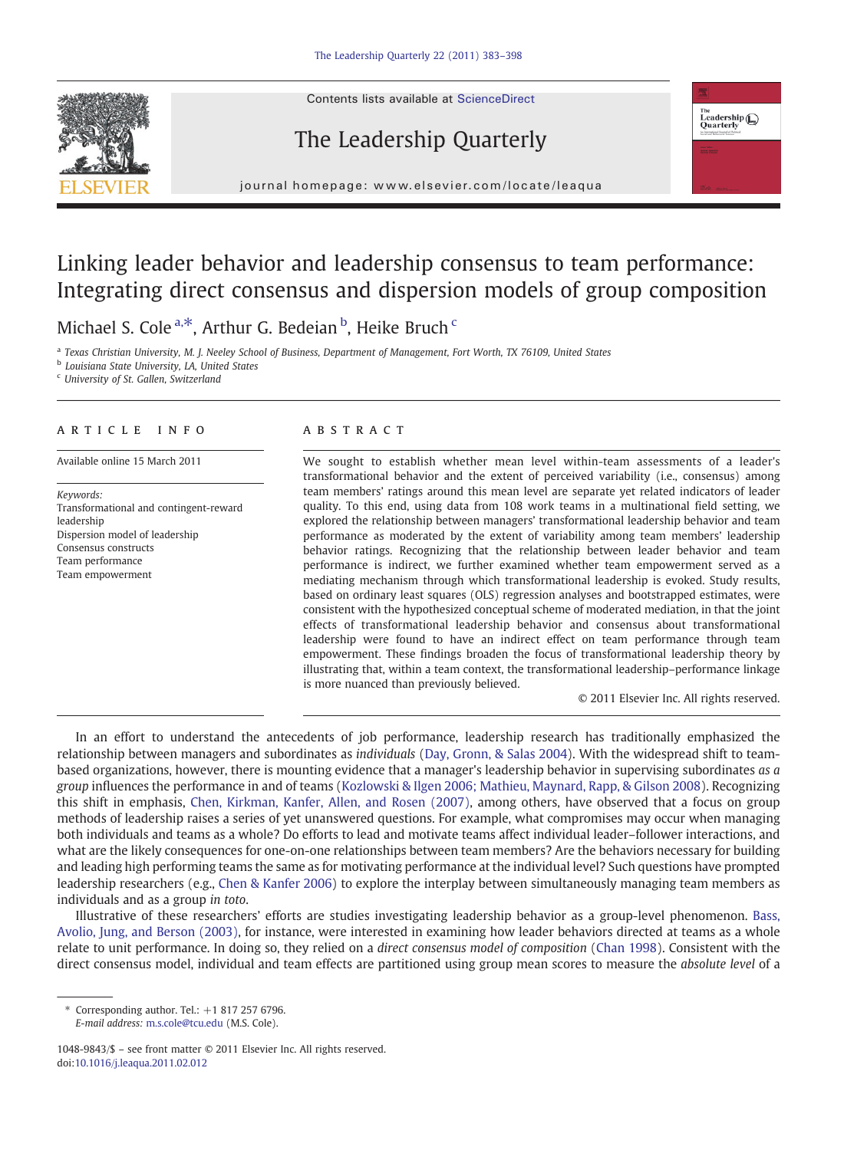Contents lists available at ScienceDirect







j o u r n a g e  $\mathbf{r}$  . We are even if  $\mathbf{r}$  is even  $\mathbf{r}$  and  $\mathbf{r}$  and  $\mathbf{r}$  and  $\mathbf{r}$  and  $\mathbf{r}$  and  $\mathbf{r}$  and  $\mathbf{r}$  and  $\mathbf{r}$  and  $\mathbf{r}$  and  $\mathbf{r}$  and  $\mathbf{r}$  and  $\mathbf{r}$  and  $\mathbf{r$ 

## Linking leader behavior and leadership consensus to team performance: Integrating direct consensus and dispersion models of group composition

Michael S. Cole<sup>a,\*</sup>, Arthur G. Bedeian <sup>b</sup>, Heike Bruch <sup>c</sup>

<sup>a</sup> Texas Christian University, M. J. Neeley School of Business, Department of Management, Fort Worth, TX 76109, United States

**b** Louisiana State University, LA, United States

<sup>c</sup> University of St. Gallen, Switzerland

### article info abstract

Keywords: Transformational and contingent-reward leadership Dispersion model of leadership Consensus constructs Team performance Team empowerment

Available online 15 March 2011 We sought to establish whether mean level within-team assessments of a leader's transformational behavior and the extent of perceived variability (i.e., consensus) among team members' ratings around this mean level are separate yet related indicators of leader quality. To this end, using data from 108 work teams in a multinational field setting, we explored the relationship between managers' transformational leadership behavior and team performance as moderated by the extent of variability among team members' leadership behavior ratings. Recognizing that the relationship between leader behavior and team performance is indirect, we further examined whether team empowerment served as a mediating mechanism through which transformational leadership is evoked. Study results, based on ordinary least squares (OLS) regression analyses and bootstrapped estimates, were consistent with the hypothesized conceptual scheme of moderated mediation, in that the joint effects of transformational leadership behavior and consensus about transformational leadership were found to have an indirect effect on team performance through team empowerment. These findings broaden the focus of transformational leadership theory by illustrating that, within a team context, the transformational leadership–performance linkage is more nuanced than previously believed.

© 2011 Elsevier Inc. All rights reserved.

In an effort to understand the antecedents of job performance, leadership research has traditionally emphasized the relationship between managers and subordinates as individuals ([Day, Gronn, & Salas 2004\)](#page--1-0). With the widespread shift to teambased organizations, however, there is mounting evidence that a manager's leadership behavior in supervising subordinates as a group influences the performance in and of teams [\(Kozlowski & Ilgen 2006; Mathieu, Maynard, Rapp, & Gilson 2008](#page--1-0)). Recognizing this shift in emphasis, [Chen, Kirkman, Kanfer, Allen, and Rosen \(2007\)](#page--1-0), among others, have observed that a focus on group methods of leadership raises a series of yet unanswered questions. For example, what compromises may occur when managing both individuals and teams as a whole? Do efforts to lead and motivate teams affect individual leader–follower interactions, and what are the likely consequences for one-on-one relationships between team members? Are the behaviors necessary for building and leading high performing teams the same as for motivating performance at the individual level? Such questions have prompted leadership researchers (e.g., [Chen & Kanfer 2006](#page--1-0)) to explore the interplay between simultaneously managing team members as individuals and as a group in toto.

Illustrative of these researchers' efforts are studies investigating leadership behavior as a group-level phenomenon. [Bass,](#page--1-0) [Avolio, Jung, and Berson \(2003\),](#page--1-0) for instance, were interested in examining how leader behaviors directed at teams as a whole relate to unit performance. In doing so, they relied on a direct consensus model of composition ([Chan 1998\)](#page--1-0). Consistent with the direct consensus model, individual and team effects are partitioned using group mean scores to measure the absolute level of a

 $*$  Corresponding author. Tel.:  $+18172576796$ . E-mail address: [m.s.cole@tcu.edu](mailto:m.s.cole@tcu.edu) (M.S. Cole).

<sup>1048-9843/\$</sup> – see front matter © 2011 Elsevier Inc. All rights reserved. doi[:10.1016/j.leaqua.2011.02.012](http://dx.doi.org/10.1016/j.leaqua.2011.02.012)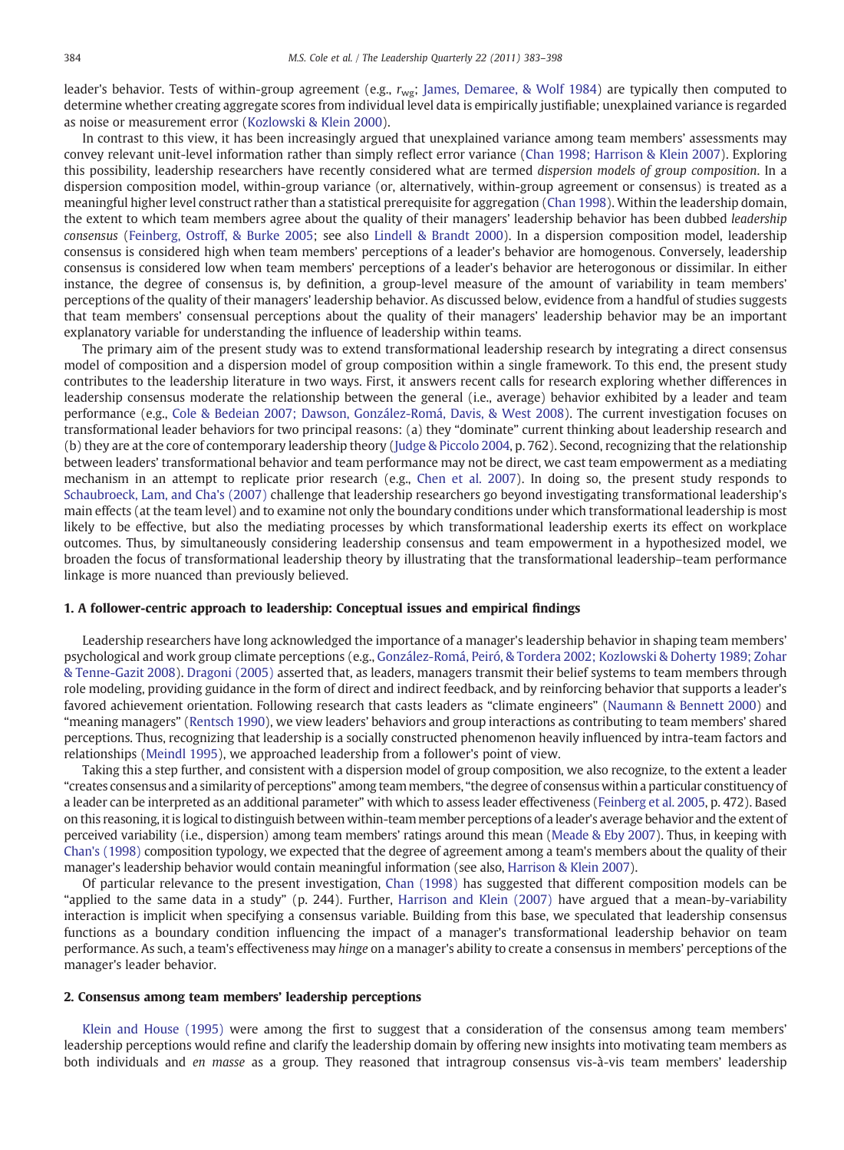leader's behavior. Tests of within-group agreement (e.g.,  $r_{wg}$ ; [James, Demaree, & Wolf 1984\)](#page--1-0) are typically then computed to determine whether creating aggregate scores from individual level data is empirically justifiable; unexplained variance is regarded as noise or measurement error ([Kozlowski & Klein 2000](#page--1-0)).

In contrast to this view, it has been increasingly argued that unexplained variance among team members' assessments may convey relevant unit-level information rather than simply reflect error variance [\(Chan 1998; Harrison & Klein 2007\)](#page--1-0). Exploring this possibility, leadership researchers have recently considered what are termed dispersion models of group composition. In a dispersion composition model, within-group variance (or, alternatively, within-group agreement or consensus) is treated as a meaningful higher level construct rather than a statistical prerequisite for aggregation ([Chan 1998](#page--1-0)). Within the leadership domain, the extent to which team members agree about the quality of their managers' leadership behavior has been dubbed leadership consensus [\(Feinberg, Ostroff, & Burke 2005](#page--1-0); see also [Lindell & Brandt 2000\)](#page--1-0). In a dispersion composition model, leadership consensus is considered high when team members' perceptions of a leader's behavior are homogenous. Conversely, leadership consensus is considered low when team members' perceptions of a leader's behavior are heterogonous or dissimilar. In either instance, the degree of consensus is, by definition, a group-level measure of the amount of variability in team members' perceptions of the quality of their managers' leadership behavior. As discussed below, evidence from a handful of studies suggests that team members' consensual perceptions about the quality of their managers' leadership behavior may be an important explanatory variable for understanding the influence of leadership within teams.

The primary aim of the present study was to extend transformational leadership research by integrating a direct consensus model of composition and a dispersion model of group composition within a single framework. To this end, the present study contributes to the leadership literature in two ways. First, it answers recent calls for research exploring whether differences in leadership consensus moderate the relationship between the general (i.e., average) behavior exhibited by a leader and team performance (e.g., [Cole & Bedeian 2007; Dawson, González-Romá, Davis, & West 2008\)](#page--1-0). The current investigation focuses on transformational leader behaviors for two principal reasons: (a) they "dominate" current thinking about leadership research and (b) they are at the core of contemporary leadership theory [\(Judge & Piccolo 2004,](#page--1-0) p. 762). Second, recognizing that the relationship between leaders' transformational behavior and team performance may not be direct, we cast team empowerment as a mediating mechanism in an attempt to replicate prior research (e.g., [Chen et al. 2007\)](#page--1-0). In doing so, the present study responds to [Schaubroeck, Lam, and Cha's \(2007\)](#page--1-0) challenge that leadership researchers go beyond investigating transformational leadership's main effects (at the team level) and to examine not only the boundary conditions under which transformational leadership is most likely to be effective, but also the mediating processes by which transformational leadership exerts its effect on workplace outcomes. Thus, by simultaneously considering leadership consensus and team empowerment in a hypothesized model, we broaden the focus of transformational leadership theory by illustrating that the transformational leadership–team performance linkage is more nuanced than previously believed.

#### 1. A follower-centric approach to leadership: Conceptual issues and empirical findings

Leadership researchers have long acknowledged the importance of a manager's leadership behavior in shaping team members' psychological and work group climate perceptions (e.g., [González-Romá, Peiró, & Tordera 2002; Kozlowski & Doherty 1989; Zohar](#page--1-0) [& Tenne-Gazit 2008](#page--1-0)). [Dragoni \(2005\)](#page--1-0) asserted that, as leaders, managers transmit their belief systems to team members through role modeling, providing guidance in the form of direct and indirect feedback, and by reinforcing behavior that supports a leader's favored achievement orientation. Following research that casts leaders as "climate engineers" [\(Naumann & Bennett 2000\)](#page--1-0) and "meaning managers" [\(Rentsch 1990\)](#page--1-0), we view leaders' behaviors and group interactions as contributing to team members' shared perceptions. Thus, recognizing that leadership is a socially constructed phenomenon heavily influenced by intra-team factors and relationships [\(Meindl 1995](#page--1-0)), we approached leadership from a follower's point of view.

Taking this a step further, and consistent with a dispersion model of group composition, we also recognize, to the extent a leader "creates consensus and a similarity of perceptions" among team members, "the degree of consensus within a particular constituency of a leader can be interpreted as an additional parameter" with which to assess leader effectiveness ([Feinberg et al. 2005,](#page--1-0) p. 472). Based on this reasoning, it is logical to distinguish between within-team member perceptions of a leader's average behavior and the extent of perceived variability (i.e., dispersion) among team members' ratings around this mean ([Meade & Eby 2007\)](#page--1-0). Thus, in keeping with [Chan's \(1998\)](#page--1-0) composition typology, we expected that the degree of agreement among a team's members about the quality of their manager's leadership behavior would contain meaningful information (see also, [Harrison & Klein 2007](#page--1-0)).

Of particular relevance to the present investigation, [Chan \(1998\)](#page--1-0) has suggested that different composition models can be "applied to the same data in a study" (p. 244). Further, [Harrison and Klein \(2007\)](#page--1-0) have argued that a mean-by-variability interaction is implicit when specifying a consensus variable. Building from this base, we speculated that leadership consensus functions as a boundary condition influencing the impact of a manager's transformational leadership behavior on team performance. As such, a team's effectiveness may hinge on a manager's ability to create a consensus in members' perceptions of the manager's leader behavior.

#### 2. Consensus among team members' leadership perceptions

[Klein and House \(1995\)](#page--1-0) were among the first to suggest that a consideration of the consensus among team members' leadership perceptions would refine and clarify the leadership domain by offering new insights into motivating team members as both individuals and en masse as a group. They reasoned that intragroup consensus vis-à-vis team members' leadership